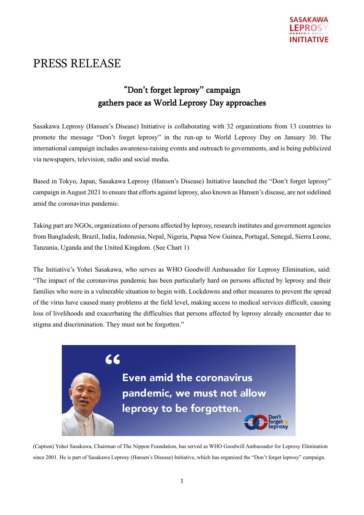

# PRESS RELEASE

## "Don**'**t forget leprosy**"** campaign gathers pace as World Leprosy Day approaches

Sasakawa Leprosy (Hansen's Disease) Initiative is collaborating with 32 organizations from 13 countries to promote the message "Don't forget leprosy" in the run-up to World Leprosy Day on January 30. The international campaign includes awareness-raising events and outreach to governments, and is being publicized via newspapers, television, radio and social media.

Based in Tokyo, Japan, Sasakawa Leprosy (Hansen's Disease) Initiative launched the "Don't forget leprosy" campaign in August 2021 to ensure that efforts against leprosy, also known as Hansen's disease, are not sidelined amid the coronavirus pandemic.

Taking part are NGOs, organizations of persons affected by leprosy, research institutes and government agencies from Bangladesh, Brazil, India, Indonesia, Nepal, Nigeria, Papua New Guinea, Portugal, Senegal, Sierra Leone, Tanzania, Uganda and the United Kingdom. (See Chart 1)

The Initiative's Yohei Sasakawa, who serves as WHO Goodwill Ambassador for Leprosy Elimination, said: "The impact of the coronavirus pandemic has been particularly hard on persons affected by leprosy and their families who were in a vulnerable situation to begin with. Lockdowns and other measures to prevent the spread of the virus have caused many problems at the field level, making access to medical services difficult, causing loss of livelihoods and exacerbating the difficulties that persons affected by leprosy already encounter due to stigma and discrimination. They must not be forgotten."



(Caption) Yohei Sasakawa, Chairman of The Nippon Foundation, has served as WHO Goodwill Ambassador for Leprosy Elimination since 2001. He is part of Sasakawa Leprosy (Hansen's Disease) Initiative, which has organized the "Don't forget leprosy" campaign.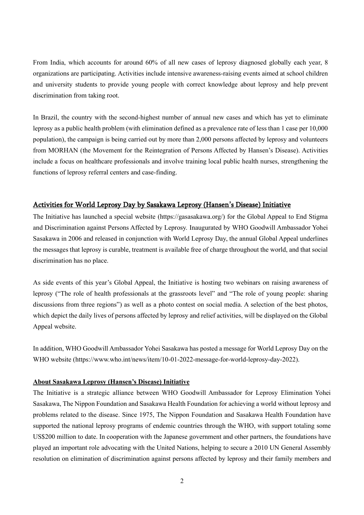From India, which accounts for around 60% of all new cases of leprosy diagnosed globally each year, 8 organizations are participating. Activities include intensive awareness-raising events aimed at school children and university students to provide young people with correct knowledge about leprosy and help prevent discrimination from taking root.

In Brazil, the country with the second-highest number of annual new cases and which has yet to eliminate leprosy as a public health problem (with elimination defined as a prevalence rate of less than 1 case per 10,000 population), the campaign is being carried out by more than 2,000 persons affected by leprosy and volunteers from MORHAN (the Movement for the Reintegration of Persons Affected by Hansen's Disease). Activities include a focus on healthcare professionals and involve training local public health nurses, strengthening the functions of leprosy referral centers and case-finding.

#### Activities for World Leprosy Day by Sasakawa Leprosy (Hansen**'**s Disease) Initiative

The Initiative has launched a special website (https://gasasakawa.org/) for the Global Appeal to End Stigma and Discrimination against Persons Affected by Leprosy. Inaugurated by WHO Goodwill Ambassador Yohei Sasakawa in 2006 and released in conjunction with World Leprosy Day, the annual Global Appeal underlines the messages that leprosy is curable, treatment is available free of charge throughout the world, and that social discrimination has no place.

As side events of this year's Global Appeal, the Initiative is hosting two webinars on raising awareness of leprosy ("The role of health professionals at the grassroots level" and "The role of young people: sharing discussions from three regions") as well as a photo contest on social media. A selection of the best photos, which depict the daily lives of persons affected by leprosy and relief activities, will be displayed on the Global Appeal website.

In addition, WHO Goodwill Ambassador Yohei Sasakawa has posted a message for World Leprosy Day on the WHO website (https://www.who.int/news/item/10-01-2022-message-for-world-leprosy-day-2022).

#### **About Sasakawa Leprosy (Hansen's Disease) Initiative**

The Initiative is a strategic alliance between WHO Goodwill Ambassador for Leprosy Elimination Yohei Sasakawa, The Nippon Foundation and Sasakawa Health Foundation for achieving a world without leprosy and problems related to the disease. Since 1975, The Nippon Foundation and Sasakawa Health Foundation have supported the national leprosy programs of endemic countries through the WHO, with support totaling some US\$200 million to date. In cooperation with the Japanese government and other partners, the foundations have played an important role advocating with the United Nations, helping to secure a 2010 UN General Assembly resolution on elimination of discrimination against persons affected by leprosy and their family members and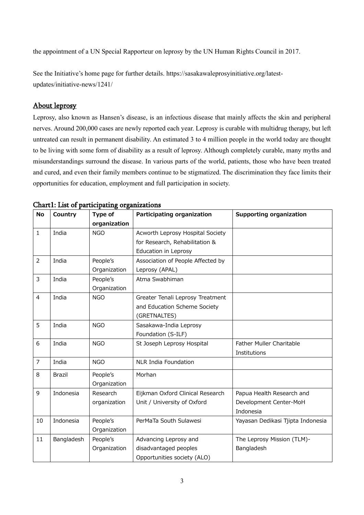the appointment of a UN Special Rapporteur on leprosy by the UN Human Rights Council in 2017.

See the Initiative's home page for further details. https://sasakawaleprosyinitiative.org/latestupdates/initiative-news/1241/

### About leprosy

Leprosy, also known as Hansen's disease, is an infectious disease that mainly affects the skin and peripheral nerves. Around 200,000 cases are newly reported each year. Leprosy is curable with multidrug therapy, but left untreated can result in permanent disability. An estimated 3 to 4 million people in the world today are thought to be living with some form of disability as a result of leprosy. Although completely curable, many myths and misunderstandings surround the disease. In various parts of the world, patients, those who have been treated and cured, and even their family members continue to be stigmatized. The discrimination they face limits their opportunities for education, employment and full participation in society.

| No             | Country       | Type of      | Participating organization        | <b>Supporting organization</b>    |
|----------------|---------------|--------------|-----------------------------------|-----------------------------------|
|                |               | organization |                                   |                                   |
| $\mathbf{1}$   | India         | <b>NGO</b>   | Acworth Leprosy Hospital Society  |                                   |
|                |               |              | for Research, Rehabilitation &    |                                   |
|                |               |              | Education in Leprosy              |                                   |
| $\overline{2}$ | India         | People's     | Association of People Affected by |                                   |
|                |               | Organization | Leprosy (APAL)                    |                                   |
| 3              | India         | People's     | Atma Swabhiman                    |                                   |
|                |               | Organization |                                   |                                   |
| $\overline{4}$ | India         | <b>NGO</b>   | Greater Tenali Leprosy Treatment  |                                   |
|                |               |              | and Education Scheme Society      |                                   |
|                |               |              | (GRETNALTES)                      |                                   |
| 5              | India         | <b>NGO</b>   | Sasakawa-India Leprosy            |                                   |
|                |               |              | Foundation (S-ILF)                |                                   |
| 6              | India         | <b>NGO</b>   | St Joseph Leprosy Hospital        | Father Muller Charitable          |
|                |               |              |                                   | Institutions                      |
| $\overline{7}$ | India         | <b>NGO</b>   | <b>NLR India Foundation</b>       |                                   |
| 8              | <b>Brazil</b> | People's     | Morhan                            |                                   |
|                |               | Organization |                                   |                                   |
| 9              | Indonesia     | Research     | Eijkman Oxford Clinical Research  | Papua Health Research and         |
|                |               | organization | Unit / University of Oxford       | Development Center-MoH            |
|                |               |              |                                   | Indonesia                         |
| 10             | Indonesia     | People's     | PerMaTa South Sulawesi            | Yayasan Dedikasi Tjipta Indonesia |
|                |               | Organization |                                   |                                   |
| 11             | Bangladesh    | People's     | Advancing Leprosy and             | The Leprosy Mission (TLM)-        |
|                |               | Organization | disadvantaged peoples             | Bangladesh                        |
|                |               |              | Opportunities society (ALO)       |                                   |

Chart1: List of participating organizations